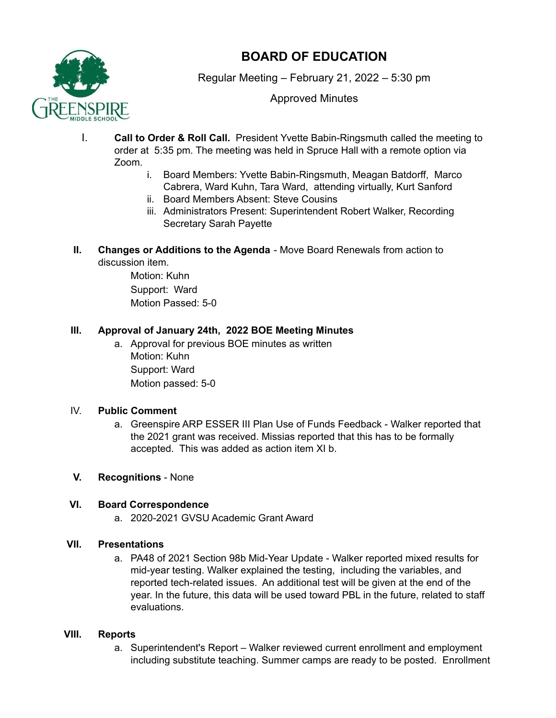

# **BOARD OF EDUCATION**

Regular Meeting – February 21, 2022 – 5:30 pm

Approved Minutes

- I. **Call to Order & Roll Call.** President Yvette Babin-Ringsmuth called the meeting to order at 5:35 pm. The meeting was held in Spruce Hall with a remote option via Zoom.
	- i. Board Members: Yvette Babin-Ringsmuth, Meagan Batdorff, Marco Cabrera, Ward Kuhn, Tara Ward, attending virtually, Kurt Sanford
	- ii. Board Members Absent: Steve Cousins
	- iii. Administrators Present: Superintendent Robert Walker, Recording Secretary Sarah Payette
- **II. Changes or Additions to the Agenda** Move Board Renewals from action to discussion item.

Motion: Kuhn Support: Ward Motion Passed: 5-0

## **III. Approval of January 24th, 2022 BOE Meeting Minutes**

a. Approval for previous BOE minutes as written Motion: Kuhn Support: Ward Motion passed: 5-0

#### IV. **Public Comment**

- a. Greenspire ARP ESSER III Plan Use of Funds Feedback Walker reported that the 2021 grant was received. Missias reported that this has to be formally accepted. This was added as action item XI b.
- **V. Recognitions** None

## **VI. Board Correspondence**

a. 2020-2021 GVSU Academic Grant Award

#### **VII. Presentations**

a. PA48 of 2021 Section 98b Mid-Year Update - Walker reported mixed results for mid-year testing. Walker explained the testing, including the variables, and reported tech-related issues. An additional test will be given at the end of the year. In the future, this data will be used toward PBL in the future, related to staff evaluations.

#### **VIII. Reports**

a. Superintendent's Report – Walker reviewed current enrollment and employment including substitute teaching. Summer camps are ready to be posted. Enrollment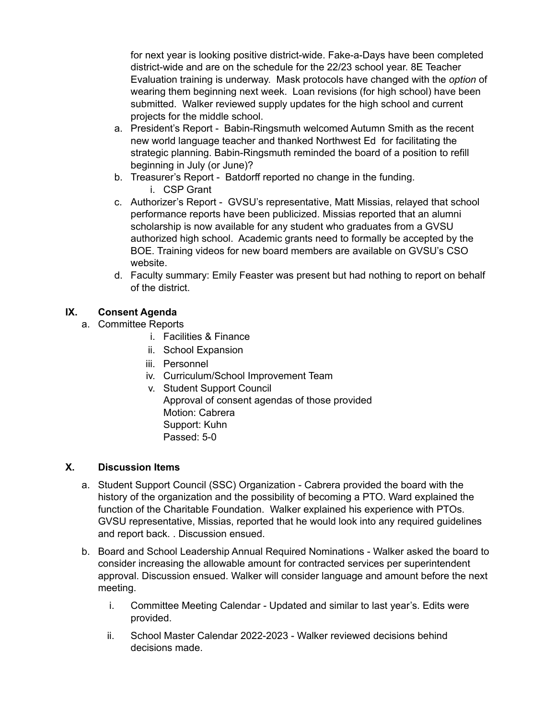for next year is looking positive district-wide. Fake-a-Days have been completed district-wide and are on the schedule for the 22/23 school year. 8E Teacher Evaluation training is underway. Mask protocols have changed with the *option* of wearing them beginning next week. Loan revisions (for high school) have been submitted. Walker reviewed supply updates for the high school and current projects for the middle school.

- a. President's Report Babin-Ringsmuth welcomed Autumn Smith as the recent new world language teacher and thanked Northwest Ed for facilitating the strategic planning. Babin-Ringsmuth reminded the board of a position to refill beginning in July (or June)?
- b. Treasurer's Report Batdorff reported no change in the funding. i. CSP Grant
- c. Authorizer's Report GVSU's representative, Matt Missias, relayed that school performance reports have been publicized. Missias reported that an alumni scholarship is now available for any student who graduates from a GVSU authorized high school. Academic grants need to formally be accepted by the BOE. Training videos for new board members are available on GVSU's CSO website.
- d. Faculty summary: Emily Feaster was present but had nothing to report on behalf of the district.

### **IX. Consent Agenda**

- a. Committee Reports
	- i. Facilities & Finance
	- ii. School Expansion
	- iii. Personnel
	- iv. Curriculum/School Improvement Team
	- v. Student Support Council Approval of consent agendas of those provided Motion: Cabrera Support: Kuhn Passed: 5-0

#### **X. Discussion Items**

- a. Student Support Council (SSC) Organization Cabrera provided the board with the history of the organization and the possibility of becoming a PTO. Ward explained the function of the Charitable Foundation. Walker explained his experience with PTOs. GVSU representative, Missias, reported that he would look into any required guidelines and report back. . Discussion ensued.
- b. Board and School Leadership Annual Required Nominations Walker asked the board to consider increasing the allowable amount for contracted services per superintendent approval. Discussion ensued. Walker will consider language and amount before the next meeting.
	- i. Committee Meeting Calendar Updated and similar to last year's. Edits were provided.
	- ii. School Master Calendar 2022-2023 Walker reviewed decisions behind decisions made.